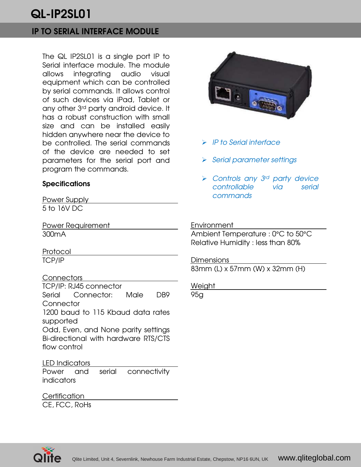## IP TO SERIAL INTERFACE MODULE

The QL IP2SL01 is a single port IP to Serial interface module. The module allows integrating audio visual equipment which can be controlled by serial commands. It allows control of such devices via iPad, Tablet or any other 3rd party android device. It has a robust construction with small size and can be installed easily hidden anywhere near the device to be controlled. The serial commands of the device are needed to set parameters for the serial port and program the commands.

### **Specifications**

Power Supply 5 to 16V DC

Power Requirement 300mA

Protocol TCP/IP

### Connectors

TCP/IP: RJ45 connector Serial Connector: Male DB9 **Connector** 1200 baud to 115 Kbaud data rates supported Odd, Even, and None parity settings Bi-directional with hardware RTS/CTS flow control

### LED Indicators

Power and serial connectivity indicators

**Certification** CE, FCC, RoHs



- $\triangleright$  IP to Serial interface
- $\triangleright$  Serial parameter settings
- $\triangleright$  Controls any 3<sup>rd</sup> party device controllable via serial commands

#### **Environment**

Ambient Temperature : 0°C to 50°C Relative Humidity : less than 80%

**Dimensions** 83mm (L) x 57mm (W) x 32mm (H)

**Weight** 

95g